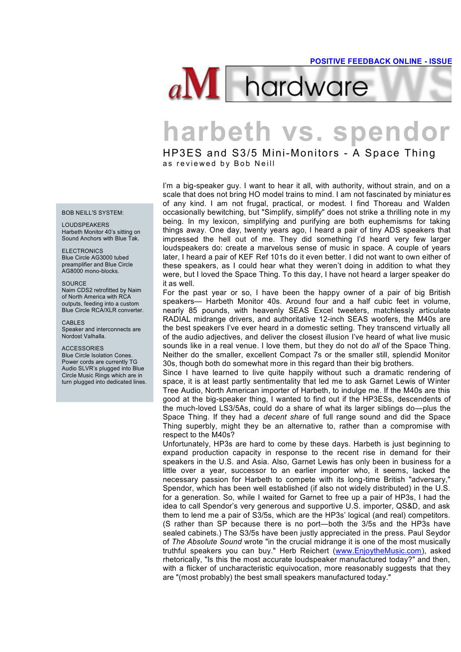

# **harbeth vs. spendor**<br>
HP3ES and S3/5 Mini-Monitors - A Space Thing<br>as reviewed by Bob Neill

HP3ES and S3/5 Mini-Monitors - A Space Thing

I'm a big-speaker guy. I want to hear it all, with authority, without strain, and on a scale that does not bring HO model trains to mind. I am not fascinated by miniatur es of any kind. I am not frugal, practical, or modest. I find Thoreau and Walden occasionally bewitching, but "Simplify, simplify" does not strike a thrilling note in my being. In my lexicon, simplifying and purifying are both euphemisms for taking things away. One day, twenty years ago, I heard a pair of tiny ADS speakers that impressed the hell out of me. They did something I'd heard very few larger loudspeakers do: create a marvelous sense of music in space. A couple of years later, I heard a pair of KEF Ref 101s do it even better. I did not want to own either of these speakers, as I could hear what they weren't doing in addition to what they were, but I loved the Space Thing. To this day, I have not heard a larger speaker do it as well.

For the past year or so, I have been the happy owner of a pair of big British speakers— Harbeth Monitor 40s. Around four and a half cubic feet in volume, nearly 85 pounds, with heavenly SEAS Excel tweeters, matchlessly articulate RADIAL midrange drivers, and authoritative 12-inch SEAS woofers, the M40s are the best speakers I've ever heard in a domestic setting. They transcend virtually all of the audio adjectives, and deliver the closest illusion I've heard of what live music sounds like in a real venue. I love them, but they do not do *all* of the Space Thing. Neither do the smaller, excellent Compact 7s or the smaller still, splendid Monitor 30s, though both do somewhat more in this regard than their big brothers.

Since I have learned to live quite happily without such a dramatic rendering of space, it is at least partly sentimentality that led me to ask Garnet Lewis of Winter Tree Audio, North American importer of Harbeth, to indulge me. If the M40s are this good at the big-speaker thing, I wanted to find out if the HP3ESs, descendents of the much-loved LS3/5As, could do a share of what its larger siblings do—plus the Space Thing. If they had a *decent share* of full range sound and did the Space Thing superbly, might they be an alternative to, rather than a compromise with respect to the M40s?

Unfortunately, HP3s are hard to come by these days. Harbeth is just beginning to expand production capacity in response to the recent rise in demand for their speakers in the U.S. and Asia. Also, Garnet Lewis has only been in business for a little over a year, successor to an earlier importer who, it seems, lacked the necessary passion for Harbeth to compete with its long-time British "adversary," Spendor, which has been well established (if also not widely distributed) in the U.S. for a generation. So, while I waited for Garnet to free up a pair of HP3s, I had the idea to call Spendor's very generous and supportive U.S. importer, QS&D, and ask them to lend me a pair of S3/5s, which are the HP3s' logical (and real) competitors. (S rather than SP because there is no port—both the 3/5s and the HP3s have sealed cabinets.) The S3/5s have been justly appreciated in the press. Paul Seydor of *The Absolute Sound* wrote "in the crucial midrange it is one of the most musically truthful speakers you can buy." Herb Reichert (www.EnjoytheMusic.com), asked rhetorically, "Is this the most accurate loudspeaker manufactured today?" and then, with a flicker of uncharacteristic equivocation, more reasonably suggests that they are "(most probably) the best small speakers manufactured today."

BOB NEILL'S SYSTEM:

LOUDSPEAKERS Harbeth Monitor 40's sitting on Sound Anchors with Blue Tak.

ELECTRONICS Blue Circle AG3000 tubed preamplifier and Blue Circle AG8000 mono-blocks.

#### **SOURCE**

Naim CDS2 retrofitted by Naim of North America with RCA outputs, feeding into a custom Blue Circle RCA/XLR converter.

CABLES Speaker and interconnects are Nordost Valhalla.

#### **ACCESSORIES**

Blue Circle Isolation Cones. Power cords are currently TG Audio SLVR's plugged into Blue Circle Music Rings which are in turn plugged into dedicated lines.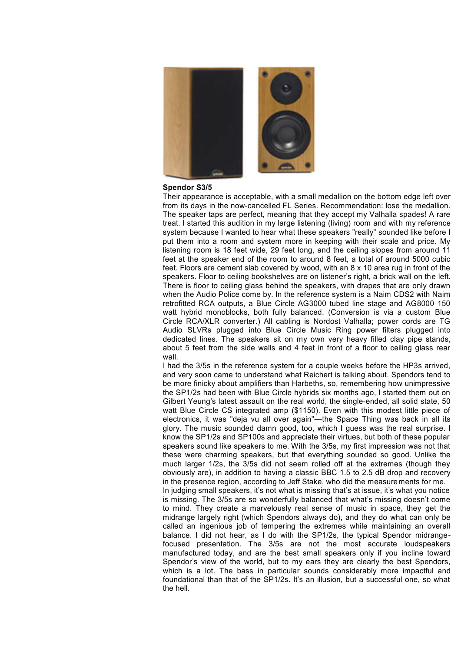

# **Spendor S3/5**

Their appearance is acceptable, with a small medallion on the bottom edge left over from its days in the now-cancelled FL Series. Recommendation: lose the medallion. The speaker taps are perfect, meaning that they accept my Valhalla spades! A rare treat. I started this audition in my large listening (living) room and with my reference system because I wanted to hear what these speakers "really" sounded like before I put them into a room and system more in keeping with their scale and price. My listening room is 18 feet wide, 29 feet long, and the ceiling slopes from around 11 feet at the speaker end of the room to around 8 feet, a total of around 5000 cubic feet. Floors are cement slab covered by wood, with an 8 x 10 area rug in front of the speakers. Floor to ceiling bookshelves are on listener's right, a brick wall on the left. There is floor to ceiling glass behind the speakers, with drapes that are only drawn when the Audio Police come by. In the reference system is a Naim CDS2 with Naim retrofitted RCA outputs, a Blue Circle AG3000 tubed line stage and AG8000 150 watt hybrid monoblocks, both fully balanced. (Conversion is via a custom Blue Circle RCA/XLR converter.) All cabling is Nordost Valhalla; power cords are TG Audio SLVRs plugged into Blue Circle Music Ring power filters plugged into dedicated lines. The speakers sit on my own very heavy filled clay pipe stands, about 5 feet from the side walls and 4 feet in front of a floor to ceiling glass rear wall.

I had the 3/5s in the reference system for a couple weeks before the HP3s arrived, and very soon came to understand what Reichert is talking about. Spendors tend to be more finicky about amplifiers than Harbeths, so, remembering how unimpressive the SP1/2s had been with Blue Circle hybrids six months ago, I started them out on Gilbert Yeung's latest assault on the real world, the single-ended, all solid state, 50 watt Blue Circle CS integrated amp (\$1150). Even with this modest little piece of electronics, it was "deja vu all over again"—the Space Thing was back in all its glory. The music sounded damn good, too, which I guess was the real surprise. I know the SP1/2s and SP100s and appreciate their virtues, but both of these popular speakers sound like speakers to me. With the 3/5s, my first impression was not that these were charming speakers, but that everything sounded so good. Unlike the much larger 1/2s, the 3/5s did not seem rolled off at the extremes (though they obviously are), in addition to having a classic BBC 1.5 to 2.5 dB drop and recovery in the presence region, according to Jeff Stake, who did the measurements for me. In judging small speakers, it's not what is missing that's at issue, it's what you notice is missing. The 3/5s are so wonderfully balanced that what's missing doesn't come to mind. They create a marvelously real sense of music in space, they get the midrange largely right (which Spendors always do), and they do what can only be called an ingenious job of tempering the extremes while maintaining an overall balance. I did not hear, as I do with the SP1/2s, the typical Spendor midrangefocused presentation. The 3/5s are not the most accurate loudspeakers manufactured today, and are the best small speakers only if you incline toward Spendor's view of the world, but to my ears they are clearly the best Spendors, which is a lot. The bass in particular sounds considerably more impactful and foundational than that of the SP1/2s. It's an illusion, but a successful one, so what the hell.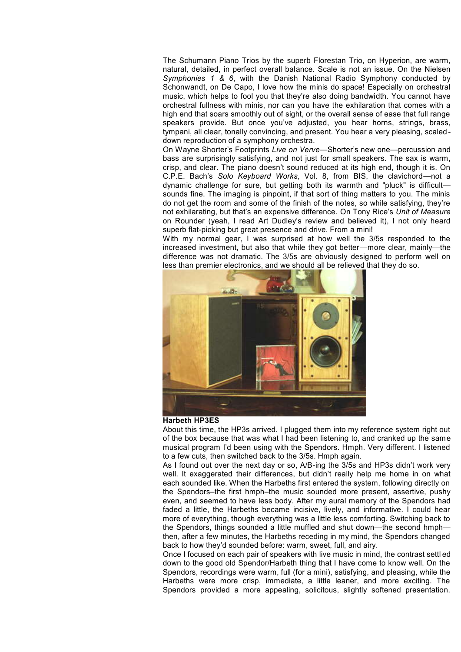The Schumann Piano Trios by the superb Florestan Trio, on Hyperion, are warm, natural, detailed, in perfect overall balance. Scale is not an issue. On the Nielsen *Symphonies 1 & 6*, with the Danish National Radio Symphony conducted by Schonwandt, on De Capo, I love how the minis do space! Especially on orchestral music, which helps to fool you that they're also doing bandwidth. You cannot have orchestral fullness with minis, nor can you have the exhilaration that comes with a high end that soars smoothly out of sight, or the overall sense of ease that full range speakers provide. But once you've adjusted, you hear horns, strings, brass, tympani, all clear, tonally convincing, and present. You hear a very pleasing, scaled down reproduction of a symphony orchestra.

On Wayne Shorter's Footprints *Live on Verve*—Shorter's new one—percussion and bass are surprisingly satisfying, and not just for small speakers. The sax is warm, crisp, and clear. The piano doesn't sound reduced at its high end, though it is. On C.P.E. Bach's *Solo Keyboard Works*, Vol. 8, from BIS, the clavichord—not a dynamic challenge for sure, but getting both its warmth and "pluck" is difficult sounds fine. The imaging is pinpoint, if that sort of thing matters to you. The minis do not get the room and some of the finish of the notes, so while satisfying, they're not exhilarating, but that's an expensive difference. On Tony Rice's *Unit of Measure* on Rounder (yeah, I read Art Dudley's review and believed it), I not only heard superb flat-picking but great presence and drive. From a mini!

With my normal gear, I was surprised at how well the 3/5s responded to the increased investment, but also that while they got better—more clear, mainly—the difference was not dramatic. The 3/5s are obviously designed to perform well on less than premier electronics, and we should all be relieved that they do so.



#### **Harbeth HP3ES**

About this time, the HP3s arrived. I plugged them into my reference system right out of the box because that was what I had been listening to, and cranked up the same musical program I'd been using with the Spendors. Hmph. Very different. I listened to a few cuts, then switched back to the 3/5s. Hmph again.

As I found out over the next day or so, A/B-ing the 3/5s and HP3s didn't work very well. It exaggerated their differences, but didn't really help me home in on what each sounded like. When the Harbeths first entered the system, following directly on the Spendors–the first hmph–the music sounded more present, assertive, pushy even, and seemed to have less body. After my aural memory of the Spendors had faded a little, the Harbeths became incisive, lively, and informative. I could hear more of everything, though everything was a little less comforting. Switching back to the Spendors, things sounded a little muffled and shut down—the second hmph then, after a few minutes, the Harbeths receding in my mind, the Spendors changed back to how they'd sounded before: warm, sweet, full, and airy.

Once I focused on each pair of speakers with live music in mind, the contrast settl ed down to the good old Spendor/Harbeth thing that I have come to know well. On the Spendors, recordings were warm, full (for a mini), satisfying, and pleasing, while the Harbeths were more crisp, immediate, a little leaner, and more exciting. The Spendors provided a more appealing, solicitous, slightly softened presentation.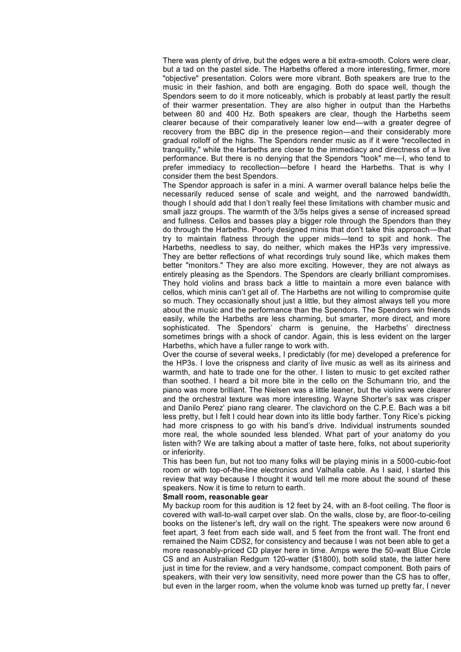There was plenty of drive, but the edges were a bit extra-smooth. Colors were clear, but a tad on the pastel side. The Harbeths offered a more interesting, firmer, more "objective" presentation. Colors were more vibrant. Both speakers are true to the music in their fashion, and both are engaging. Both do space well, though the Spendors seem to do it more noticeably, which is probably at least partly the result of their warmer presentation. They are also higher in output than the Harbeths between 80 and 400 Hz. Both speakers are clear, though the Harbeths seem clearer because of their comparatively leaner low end—with a greater degree of recovery from the BBC dip in the presence region—and their considerably more gradual rolloff of the highs. The Spendors render music as if it were "recollected in tranquility," while the Harbeths are closer to the immediacy and directness of a live performance. But there is no denying that the Spendors "took" me—I, who tend to prefer immediacy to recollection—before I heard the Harbeths. That is why I consider them the best Spendors.

The Spendor approach is safer in a mini. A warmer overall balance helps belie the necessarily reduced sense of scale and weight, and the narrowed bandwidth, though I should add that I don't really feel these limitations with chamber music and small jazz groups. The warmth of the 3/5s helps gives a sense of increased spread and fullness. Cellos and basses play a bigger role through the Spendors than they do through the Harbeths. Poorly designed minis that don't take this approach—that try to maintain flatness through the upper mids—tend to spit and honk. The Harbeths, needless to say, do neither, which makes the HP3s very impressive. They are better reflections of what recordings truly sound like, which makes them better "monitors." They are also more exciting. However, they are not always as entirely pleasing as the Spendors. The Spendors are clearly brilliant compromises. They hold violins and brass back a little to maintain a more even balance with cellos, which minis can't get all of. The Harbeths are not willing to compromise quite so much. They occasionally shout just a little, but they almost always tell you more about the music and the performance than the Spendors. The Spendors win friends easily, while the Harbeths are less charming, but smarter, more direct, and more sophisticated. The Spendors' charm is genuine, the Harbeths' directness sometimes brings with a shock of candor. Again, this is less evident on the larger Harbeths, which have a fuller range to work with.

Over the course of several weeks, I predictably (for me) developed a preference for the HP3s. I love the crispness and clarity of live music as well as its airiness and warmth, and hate to trade one for the other. I listen to music to get excited rather than soothed. I heard a bit more bite in the cello on the Schumann trio, and the piano was more brilliant. The Nielsen was a little leaner, but the violins were clearer and the orchestral texture was more interesting. Wayne Shorter's sax was crisper and Danilo Perez' piano rang clearer. The clavichord on the C.P.E. Bach was a bit less pretty, but I felt I could hear down into its little body farther. Tony Rice's picking had more crispness to go with his band's drive. Individual instruments sounded more real, the whole sounded less blended. What part of your anatomy do you listen with? We are talking about a matter of taste here, folks, not about superiority or inferiority.

This has been fun, but not too many folks will be playing minis in a 5000-cubic-foot room or with top-of-the-line electronics and Valhalla cable. As I said, I started this review that way because I thought it would tell me more about the sound of these speakers. Now it is time to return to earth.

## **Small room, reasonable gear**

My backup room for this audition is 12 feet by 24, with an 8-foot ceiling. The floor is covered with wall-to-wall carpet over slab. On the walls, close by, are floor-to-ceiling books on the listener's left, dry wall on the right. The speakers were now around 6 feet apart, 3 feet from each side wall, and 5 feet from the front wall. The front end remained the Naim CDS2, for consistency and because I was not been able to get a more reasonably-priced CD player here in time. Amps were the 50-watt Blue Circle CS and an Australian Redgum 120-watter (\$1800), both solid state, the latter here just in time for the review, and a very handsome, compact component. Both pairs of speakers, with their very low sensitivity, need more power than the CS has to offer, but even in the larger room, when the volume knob was turned up pretty far, I never